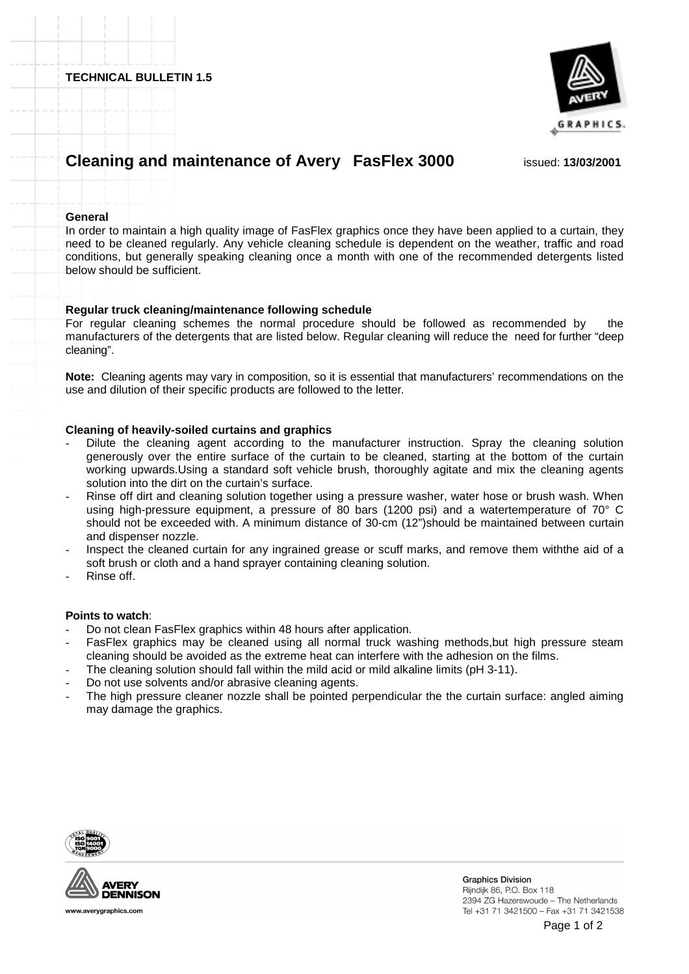**TECHNICAL BULLETIN 1.5**



# **Cleaning and maintenance of Avery FasFlex 3000** issued: **13/03/2001**

#### **General**

In order to maintain a high quality image of FasFlex graphics once they have been applied to a curtain, they need to be cleaned regularly. Any vehicle cleaning schedule is dependent on the weather, traffic and road conditions, but generally speaking cleaning once a month with one of the recommended detergents listed below should be sufficient.

### **Regular truck cleaning/maintenance following schedule**

For regular cleaning schemes the normal procedure should be followed as recommended by the manufacturers of the detergents that are listed below. Regular cleaning will reduce the need for further "deep cleaning".

**Note:** Cleaning agents may vary in composition, so it is essential that manufacturers' recommendations on the use and dilution of their specific products are followed to the letter.

### **Cleaning of heavily-soiled curtains and graphics**

- Dilute the cleaning agent according to the manufacturer instruction. Spray the cleaning solution generously over the entire surface of the curtain to be cleaned, starting at the bottom of the curtain working upwards.Using a standard soft vehicle brush, thoroughly agitate and mix the cleaning agents solution into the dirt on the curtain's surface.
- Rinse off dirt and cleaning solution together using a pressure washer, water hose or brush wash. When using high-pressure equipment, a pressure of 80 bars (1200 psi) and a watertemperature of 70° C should not be exceeded with. A minimum distance of 30-cm (12") should be maintained between curtain and dispenser nozzle.
- Inspect the cleaned curtain for any ingrained grease or scuff marks, and remove them with the aid of a soft brush or cloth and a hand sprayer containing cleaning solution.
- Rinse off.

### **Points to watch**:

- Do not clean FasFlex graphics within 48 hours after application.
- FasFlex graphics may be cleaned using all normal truck washing methods, but high pressure steam cleaning should be avoided as the extreme heat can interfere with the adhesion on the films.
- The cleaning solution should fall within the mild acid or mild alkaline limits (pH 3-11).
- Do not use solvents and/or abrasive cleaning agents.
- The high pressure cleaner nozzle shall be pointed perpendicular the the curtain surface: angled aiming may damage the graphics.